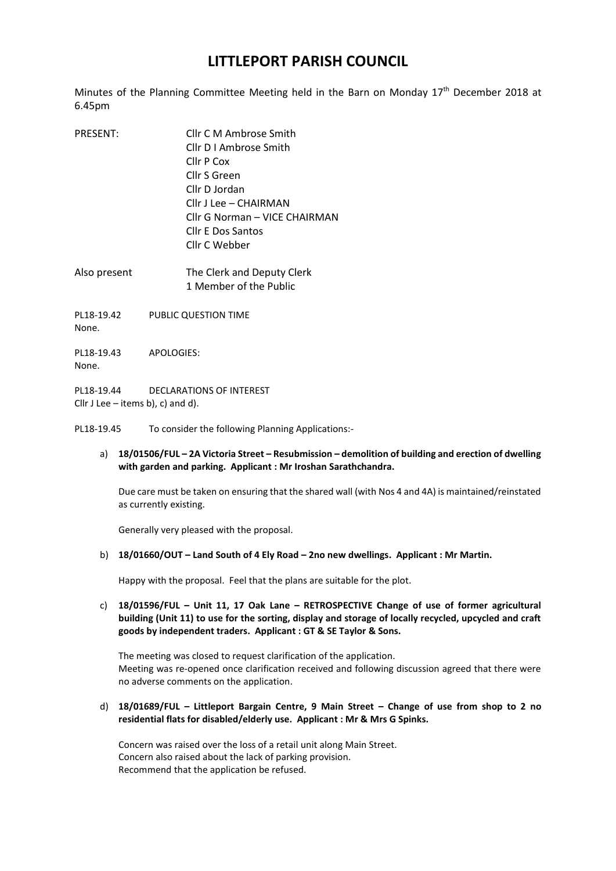## **LITTLEPORT PARISH COUNCIL**

Minutes of the Planning Committee Meeting held in the Barn on Monday 17<sup>th</sup> December 2018 at 6.45pm

| <b>PRESENT:</b> | Cllr C M Ambrose Smith        |
|-----------------|-------------------------------|
|                 | Cllr D I Ambrose Smith        |
|                 | Cllr P Cox                    |
|                 | Cllr S Green                  |
|                 | Cllr D Jordan                 |
|                 | Cllr J Lee - CHAIRMAN         |
|                 | Cllr G Norman - VICE CHAIRMAN |
|                 | <b>Cllr E Dos Santos</b>      |
|                 | Cllr C Webber                 |
|                 |                               |

Also present The Clerk and Deputy Clerk 1 Member of the Public

PL18-19.42 PUBLIC QUESTION TIME None.

PL18-19.43 APOLOGIES: None.

PL18-19.44 DECLARATIONS OF INTEREST Cllr J Lee – items b), c) and d).

PL18-19.45 To consider the following Planning Applications:-

## a) **18/01506/FUL – 2A Victoria Street – Resubmission – demolition of building and erection of dwelling with garden and parking. Applicant : Mr Iroshan Sarathchandra.**

Due care must be taken on ensuring that the shared wall (with Nos 4 and 4A) is maintained/reinstated as currently existing.

Generally very pleased with the proposal.

b) **18/01660/OUT – Land South of 4 Ely Road – 2no new dwellings. Applicant : Mr Martin.**

Happy with the proposal. Feel that the plans are suitable for the plot.

c) **18/01596/FUL – Unit 11, 17 Oak Lane – RETROSPECTIVE Change of use of former agricultural building (Unit 11) to use for the sorting, display and storage of locally recycled, upcycled and craft goods by independent traders. Applicant : GT & SE Taylor & Sons.**

The meeting was closed to request clarification of the application. Meeting was re-opened once clarification received and following discussion agreed that there were no adverse comments on the application.

d) **18/01689/FUL – Littleport Bargain Centre, 9 Main Street – Change of use from shop to 2 no residential flats for disabled/elderly use. Applicant : Mr & Mrs G Spinks.**

Concern was raised over the loss of a retail unit along Main Street. Concern also raised about the lack of parking provision. Recommend that the application be refused.